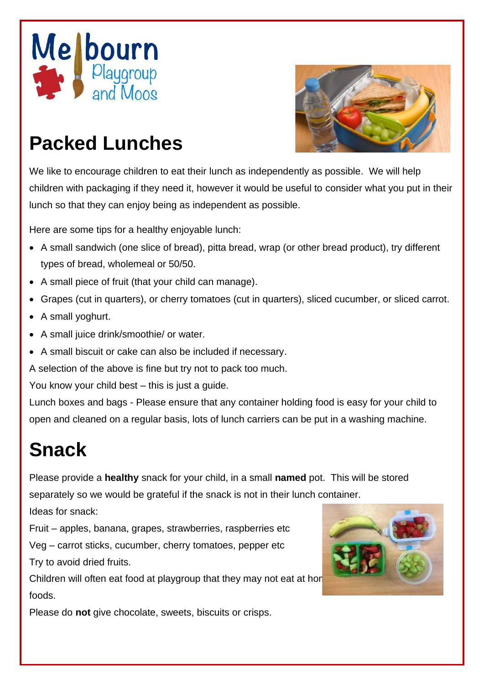



## **Packed Lunches**

We like to encourage children to eat their lunch as independently as possible. We will help children with packaging if they need it, however it would be useful to consider what you put in their lunch so that they can enjoy being as independent as possible.

Here are some tips for a healthy enjoyable lunch:

- A small sandwich (one slice of bread), pitta bread, wrap (or other bread product), try different types of bread, wholemeal or 50/50.
- A small piece of fruit (that your child can manage).
- Grapes (cut in quarters), or cherry tomatoes (cut in quarters), sliced cucumber, or sliced carrot.
- A small yoghurt.
- A small juice drink/smoothie/ or water.
- A small biscuit or cake can also be included if necessary.

A selection of the above is fine but try not to pack too much.

You know your child best – this is just a guide.

Lunch boxes and bags - Please ensure that any container holding food is easy for your child to open and cleaned on a regular basis, lots of lunch carriers can be put in a washing machine.

## **Snack**

Please provide a **healthy** snack for your child, in a small **named** pot. This will be stored separately so we would be grateful if the snack is not in their lunch container.

Ideas for snack:

Fruit – apples, banana, grapes, strawberries, raspberries etc

Veg – carrot sticks, cucumber, cherry tomatoes, pepper etc Try to avoid dried fruits.

Children will often eat food at playgroup that they may not eat at hor foods.



Please do **not** give chocolate, sweets, biscuits or crisps.